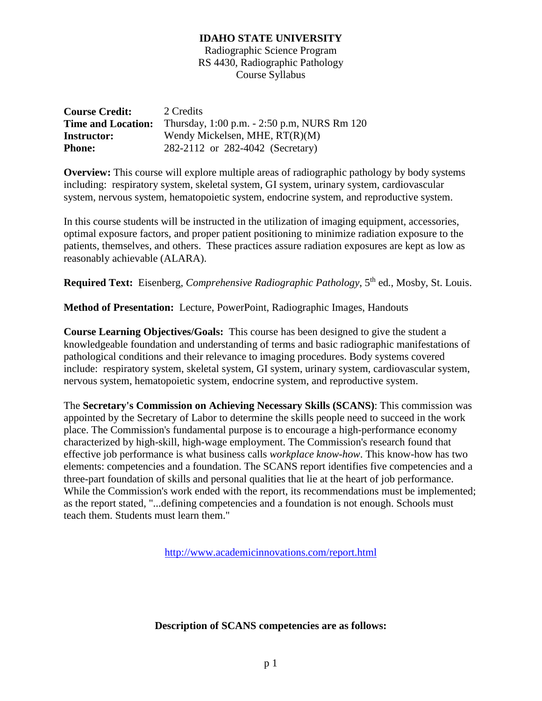Radiographic Science Program RS 4430, Radiographic Pathology Course Syllabus

| <b>Course Credit:</b>     | 2 Credits                                   |
|---------------------------|---------------------------------------------|
| <b>Time and Location:</b> | Thursday, 1:00 p.m. - 2:50 p.m. NURS Rm 120 |
| <b>Instructor:</b>        | Wendy Mickelsen, MHE, $RT(R)(M)$            |
| <b>Phone:</b>             | 282-2112 or 282-4042 (Secretary)            |

**Overview:** This course will explore multiple areas of radiographic pathology by body systems including: respiratory system, skeletal system, GI system, urinary system, cardiovascular system, nervous system, hematopoietic system, endocrine system, and reproductive system.

In this course students will be instructed in the utilization of imaging equipment, accessories, optimal exposure factors, and proper patient positioning to minimize radiation exposure to the patients, themselves, and others. These practices assure radiation exposures are kept as low as reasonably achievable (ALARA).

**Required Text:** Eisenberg, *Comprehensive Radiographic Pathology*, 5<sup>th</sup> ed., Mosby, St. Louis.

**Method of Presentation:** Lecture, PowerPoint, Radiographic Images, Handouts

**Course Learning Objectives/Goals:** This course has been designed to give the student a knowledgeable foundation and understanding of terms and basic radiographic manifestations of pathological conditions and their relevance to imaging procedures. Body systems covered include: respiratory system, skeletal system, GI system, urinary system, cardiovascular system, nervous system, hematopoietic system, endocrine system, and reproductive system.

The **Secretary's Commission on Achieving Necessary Skills (SCANS)**: This commission was appointed by the Secretary of Labor to determine the skills people need to succeed in the work place. The Commission's fundamental purpose is to encourage a high-performance economy characterized by high-skill, high-wage employment. The Commission's research found that effective job performance is what business calls *workplace know-how*. This know-how has two elements: competencies and a foundation. The SCANS report identifies five competencies and a three-part foundation of skills and personal qualities that lie at the heart of job performance. While the Commission's work ended with the report, its recommendations must be implemented; as the report stated, "...defining competencies and a foundation is not enough. Schools must teach them. Students must learn them."

<http://www.academicinnovations.com/report.html>

# **Description of SCANS competencies are as follows:**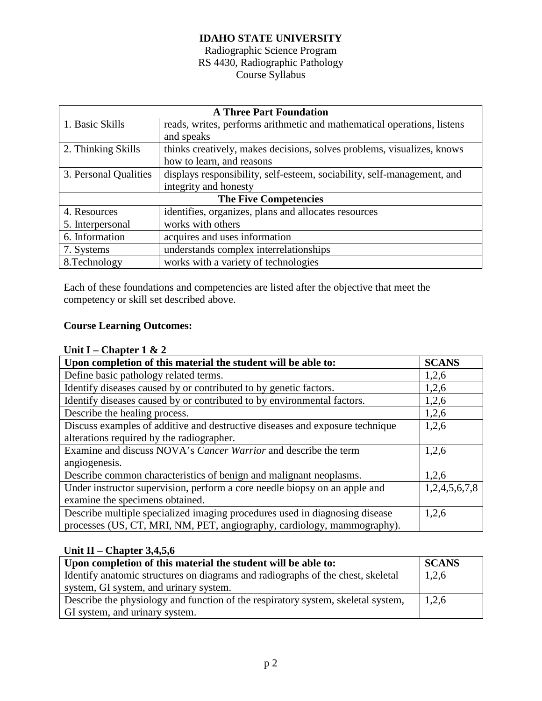# Radiographic Science Program RS 4430, Radiographic Pathology Course Syllabus

| <b>A Three Part Foundation</b> |                                                                         |  |
|--------------------------------|-------------------------------------------------------------------------|--|
| 1. Basic Skills                | reads, writes, performs arithmetic and mathematical operations, listens |  |
|                                | and speaks                                                              |  |
| 2. Thinking Skills             | thinks creatively, makes decisions, solves problems, visualizes, knows  |  |
|                                | how to learn, and reasons                                               |  |
| 3. Personal Qualities          | displays responsibility, self-esteem, sociability, self-management, and |  |
|                                | integrity and honesty                                                   |  |
| <b>The Five Competencies</b>   |                                                                         |  |
| 4. Resources                   | identifies, organizes, plans and allocates resources                    |  |
| 5. Interpersonal               | works with others                                                       |  |
| 6. Information                 | acquires and uses information                                           |  |
| 7. Systems                     | understands complex interrelationships                                  |  |
| 8. Technology                  | works with a variety of technologies                                    |  |

Each of these foundations and competencies are listed after the objective that meet the competency or skill set described above.

# **Course Learning Outcomes:**

# **Unit I – Chapter 1 & 2**

| Upon completion of this material the student will be able to:                | <b>SCANS</b>  |
|------------------------------------------------------------------------------|---------------|
| Define basic pathology related terms.                                        | 1,2,6         |
| Identify diseases caused by or contributed to by genetic factors.            | 1,2,6         |
| Identify diseases caused by or contributed to by environmental factors.      | 1,2,6         |
| Describe the healing process.                                                | 1,2,6         |
| Discuss examples of additive and destructive diseases and exposure technique | 1,2,6         |
| alterations required by the radiographer.                                    |               |
| Examine and discuss NOVA's Cancer Warrior and describe the term              | 1,2,6         |
| angiogenesis.                                                                |               |
| Describe common characteristics of benign and malignant neoplasms.           | 1,2,6         |
| Under instructor supervision, perform a core needle biopsy on an apple and   | 1,2,4,5,6,7,8 |
| examine the specimens obtained.                                              |               |
| Describe multiple specialized imaging procedures used in diagnosing disease  | 1,2,6         |
| processes (US, CT, MRI, NM, PET, angiography, cardiology, mammography).      |               |

# **Unit II – Chapter 3,4,5,6**

| Upon completion of this material the student will be able to:                              |       |  |
|--------------------------------------------------------------------------------------------|-------|--|
| I dentify anatomic structures on diagrams and radiographs of the chest, skeletal           | 1,2,6 |  |
| system, GI system, and urinary system.                                                     |       |  |
| Describe the physiology and function of the respiratory system, skeletal system,<br> 1,2,6 |       |  |
| GI system, and urinary system.                                                             |       |  |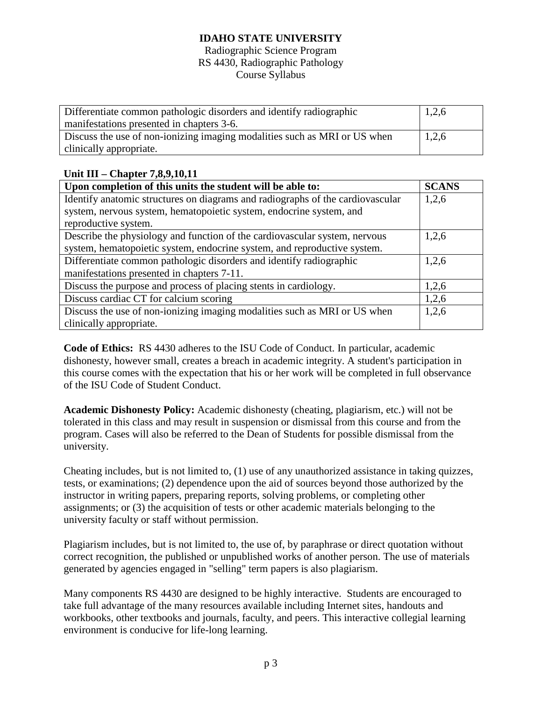#### Radiographic Science Program RS 4430, Radiographic Pathology Course Syllabus

| Differentiate common pathologic disorders and identify radiographic       | 1,2,6 |
|---------------------------------------------------------------------------|-------|
| manifestations presented in chapters 3-6.                                 |       |
| Discuss the use of non-ionizing imaging modalities such as MRI or US when | 1,2,6 |
| clinically appropriate.                                                   |       |

# **Unit III – Chapter 7,8,9,10,11**

| Upon completion of this units the student will be able to:                     | <b>SCANS</b> |
|--------------------------------------------------------------------------------|--------------|
| Identify anatomic structures on diagrams and radiographs of the cardiovascular | 1,2,6        |
| system, nervous system, hematopoietic system, endocrine system, and            |              |
| reproductive system.                                                           |              |
| Describe the physiology and function of the cardiovascular system, nervous     | 1,2,6        |
| system, hematopoietic system, endocrine system, and reproductive system.       |              |
| Differentiate common pathologic disorders and identify radiographic            | 1,2,6        |
| manifestations presented in chapters 7-11.                                     |              |
| Discuss the purpose and process of placing stents in cardiology.               | 1,2,6        |
| Discuss cardiac CT for calcium scoring                                         | 1,2,6        |
| Discuss the use of non-ionizing imaging modalities such as MRI or US when      | 1,2,6        |
| clinically appropriate.                                                        |              |

**Code of Ethics:** RS 4430 adheres to the ISU Code of Conduct. In particular, academic dishonesty, however small, creates a breach in academic integrity. A student's participation in this course comes with the expectation that his or her work will be completed in full observance of the ISU Code of Student Conduct.

**Academic Dishonesty Policy:** Academic dishonesty (cheating, plagiarism, etc.) will not be tolerated in this class and may result in suspension or dismissal from this course and from the program. Cases will also be referred to the Dean of Students for possible dismissal from the university.

Cheating includes, but is not limited to, (1) use of any unauthorized assistance in taking quizzes, tests, or examinations; (2) dependence upon the aid of sources beyond those authorized by the instructor in writing papers, preparing reports, solving problems, or completing other assignments; or (3) the acquisition of tests or other academic materials belonging to the university faculty or staff without permission.

Plagiarism includes, but is not limited to, the use of, by paraphrase or direct quotation without correct recognition, the published or unpublished works of another person. The use of materials generated by agencies engaged in "selling" term papers is also plagiarism.

Many components RS 4430 are designed to be highly interactive. Students are encouraged to take full advantage of the many resources available including Internet sites, handouts and workbooks, other textbooks and journals, faculty, and peers. This interactive collegial learning environment is conducive for life-long learning.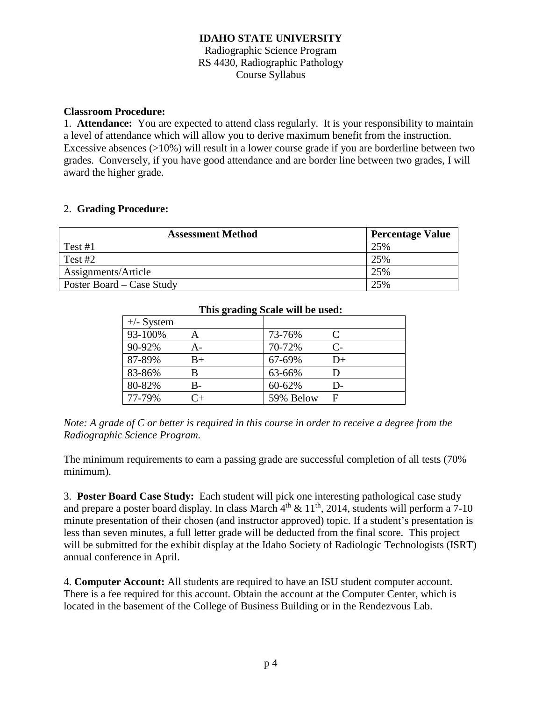## Radiographic Science Program RS 4430, Radiographic Pathology Course Syllabus

## **Classroom Procedure:**

1. **Attendance:** You are expected to attend class regularly. It is your responsibility to maintain a level of attendance which will allow you to derive maximum benefit from the instruction. Excessive absences (>10%) will result in a lower course grade if you are borderline between two grades. Conversely, if you have good attendance and are border line between two grades, I will award the higher grade.

## 2. **Grading Procedure:**

| <b>Assessment Method</b>  | <b>Percentage Value</b> |
|---------------------------|-------------------------|
| Test $#1$                 | 25%                     |
| Test $#2$                 | 25%                     |
| Assignments/Article       | 25%                     |
| Poster Board – Case Study | 25%                     |

| This grading Scale will be used: |          |           |              |
|----------------------------------|----------|-----------|--------------|
| $+\!$ - System                   |          |           |              |
| 93-100%                          | A        | 73-76%    | €            |
| 90-92%                           | А-       | 70-72%    | $\mathsf{C}$ |
| 87-89%                           | $B+$     | 67-69%    | $D+$         |
| 83-86%                           |          | 63-66%    | D            |
| 80-82%                           | B-       | 60-62%    | D-           |
| 77-79%                           | $\cap_+$ | 59% Below | F            |

# *Note: A grade of C or better is required in this course in order to receive a degree from the Radiographic Science Program.*

The minimum requirements to earn a passing grade are successful completion of all tests (70% minimum).

3. **Poster Board Case Study:** Each student will pick one interesting pathological case study and prepare a poster board display. In class March  $4<sup>th</sup> \& 11<sup>th</sup>$ , 2014, students will perform a 7-10 minute presentation of their chosen (and instructor approved) topic. If a student's presentation is less than seven minutes, a full letter grade will be deducted from the final score. This project will be submitted for the exhibit display at the Idaho Society of Radiologic Technologists (ISRT) annual conference in April.

4. **Computer Account:** All students are required to have an ISU student computer account. There is a fee required for this account. Obtain the account at the Computer Center, which is located in the basement of the College of Business Building or in the Rendezvous Lab.